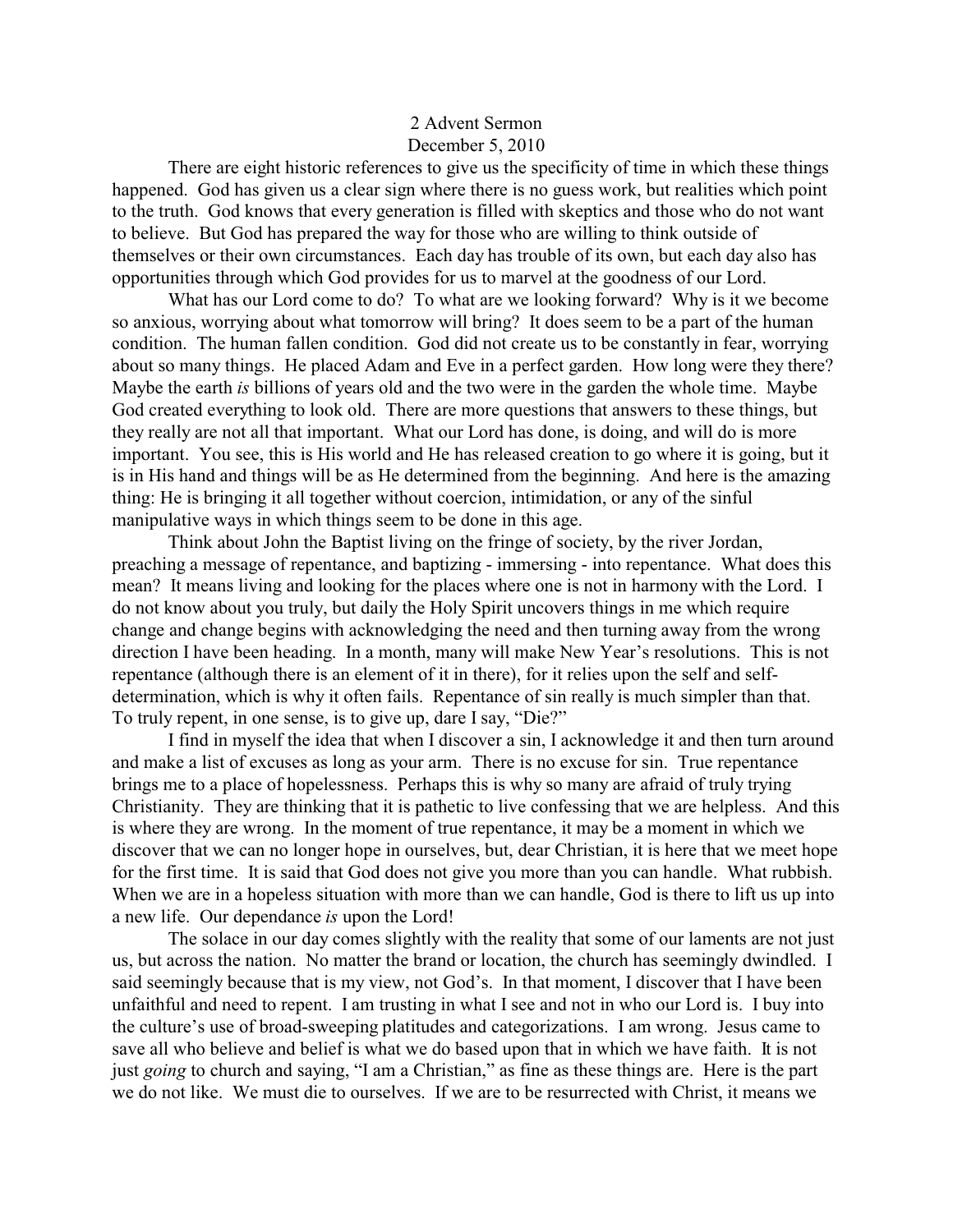## 2 Advent Sermon December 5, 2010

There are eight historic references to give us the specificity of time in which these things happened. God has given us a clear sign where there is no guess work, but realities which point to the truth. God knows that every generation is filled with skeptics and those who do not want to believe. But God has prepared the way for those who are willing to think outside of themselves or their own circumstances. Each day has trouble of its own, but each day also has opportunities through which God provides for us to marvel at the goodness of our Lord.

What has our Lord come to do? To what are we looking forward? Why is it we become so anxious, worrying about what tomorrow will bring? It does seem to be a part of the human condition. The human fallen condition. God did not create us to be constantly in fear, worrying about so many things. He placed Adam and Eve in a perfect garden. How long were they there? Maybe the earth *is* billions of years old and the two were in the garden the whole time. Maybe God created everything to look old. There are more questions that answers to these things, but they really are not all that important. What our Lord has done, is doing, and will do is more important. You see, this is His world and He has released creation to go where it is going, but it is in His hand and things will be as He determined from the beginning. And here is the amazing thing: He is bringing it all together without coercion, intimidation, or any of the sinful manipulative ways in which things seem to be done in this age.

Think about John the Baptist living on the fringe of society, by the river Jordan, preaching a message of repentance, and baptizing - immersing - into repentance. What does this mean? It means living and looking for the places where one is not in harmony with the Lord. I do not know about you truly, but daily the Holy Spirit uncovers things in me which require change and change begins with acknowledging the need and then turning away from the wrong direction I have been heading. In a month, many will make New Year's resolutions. This is not repentance (although there is an element of it in there), for it relies upon the self and selfdetermination, which is why it often fails. Repentance of sin really is much simpler than that. To truly repent, in one sense, is to give up, dare I say, "Die?"

I find in myself the idea that when I discover a sin, I acknowledge it and then turn around and make a list of excuses as long as your arm. There is no excuse for sin. True repentance brings me to a place of hopelessness. Perhaps this is why so many are afraid of truly trying Christianity. They are thinking that it is pathetic to live confessing that we are helpless. And this is where they are wrong. In the moment of true repentance, it may be a moment in which we discover that we can no longer hope in ourselves, but, dear Christian, it is here that we meet hope for the first time. It is said that God does not give you more than you can handle. What rubbish. When we are in a hopeless situation with more than we can handle, God is there to lift us up into a new life. Our dependance *is* upon the Lord!

The solace in our day comes slightly with the reality that some of our laments are not just us, but across the nation. No matter the brand or location, the church has seemingly dwindled. I said seemingly because that is my view, not God's. In that moment, I discover that I have been unfaithful and need to repent. I am trusting in what I see and not in who our Lord is. I buy into the culture's use of broad-sweeping platitudes and categorizations. I am wrong. Jesus came to save all who believe and belief is what we do based upon that in which we have faith. It is not just *going* to church and saying, "I am a Christian," as fine as these things are. Here is the part we do not like. We must die to ourselves. If we are to be resurrected with Christ, it means we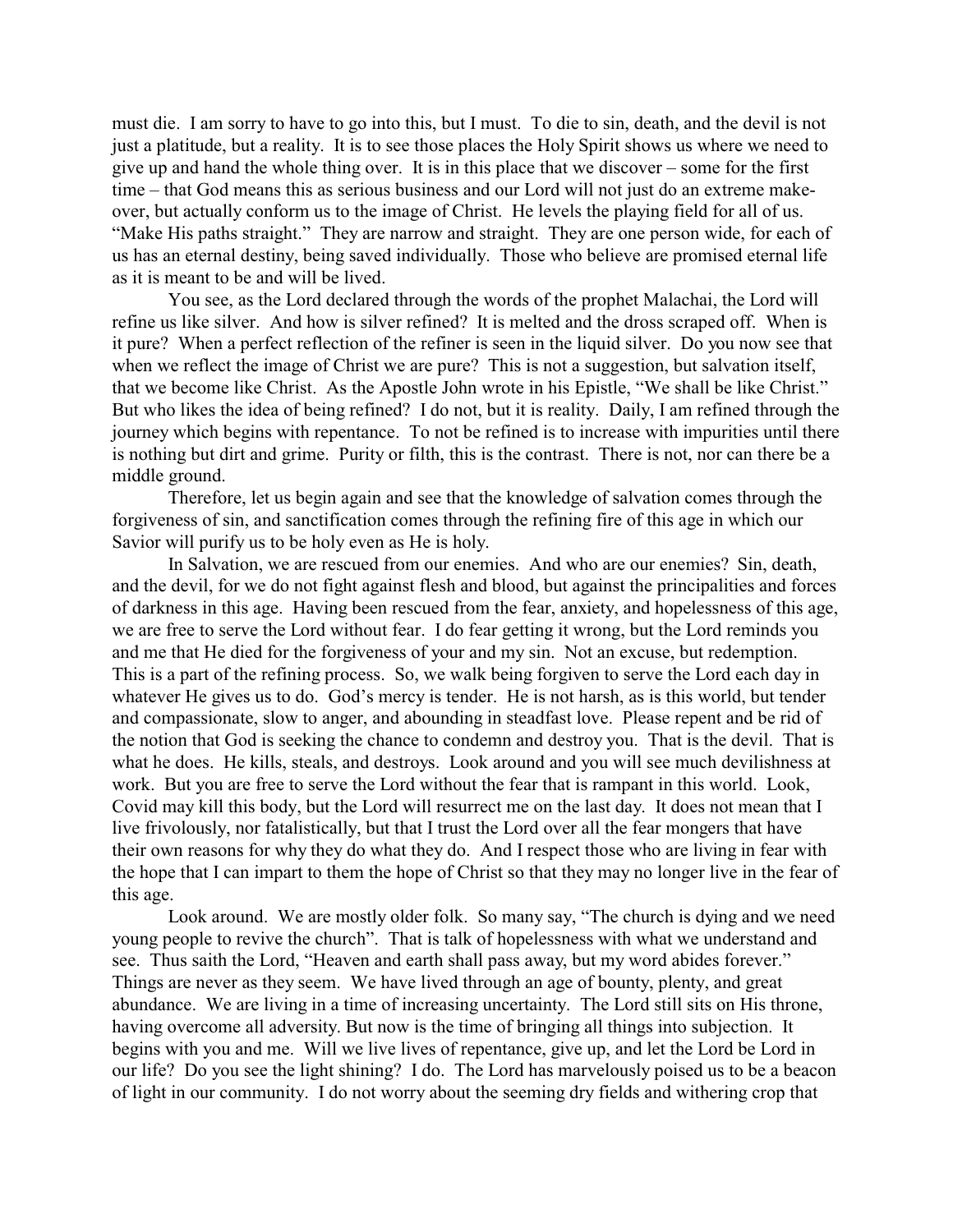must die. I am sorry to have to go into this, but I must. To die to sin, death, and the devil is not just a platitude, but a reality. It is to see those places the Holy Spirit shows us where we need to give up and hand the whole thing over. It is in this place that we discover – some for the first time – that God means this as serious business and our Lord will not just do an extreme makeover, but actually conform us to the image of Christ. He levels the playing field for all of us. "Make His paths straight." They are narrow and straight. They are one person wide, for each of us has an eternal destiny, being saved individually. Those who believe are promised eternal life as it is meant to be and will be lived.

You see, as the Lord declared through the words of the prophet Malachai, the Lord will refine us like silver. And how is silver refined? It is melted and the dross scraped off. When is it pure? When a perfect reflection of the refiner is seen in the liquid silver. Do you now see that when we reflect the image of Christ we are pure? This is not a suggestion, but salvation itself, that we become like Christ. As the Apostle John wrote in his Epistle, "We shall be like Christ." But who likes the idea of being refined? I do not, but it is reality. Daily, I am refined through the journey which begins with repentance. To not be refined is to increase with impurities until there is nothing but dirt and grime. Purity or filth, this is the contrast. There is not, nor can there be a middle ground.

Therefore, let us begin again and see that the knowledge of salvation comes through the forgiveness of sin, and sanctification comes through the refining fire of this age in which our Savior will purify us to be holy even as He is holy.

In Salvation, we are rescued from our enemies. And who are our enemies? Sin, death, and the devil, for we do not fight against flesh and blood, but against the principalities and forces of darkness in this age. Having been rescued from the fear, anxiety, and hopelessness of this age, we are free to serve the Lord without fear. I do fear getting it wrong, but the Lord reminds you and me that He died for the forgiveness of your and my sin. Not an excuse, but redemption. This is a part of the refining process. So, we walk being forgiven to serve the Lord each day in whatever He gives us to do. God's mercy is tender. He is not harsh, as is this world, but tender and compassionate, slow to anger, and abounding in steadfast love. Please repent and be rid of the notion that God is seeking the chance to condemn and destroy you. That is the devil. That is what he does. He kills, steals, and destroys. Look around and you will see much devilishness at work. But you are free to serve the Lord without the fear that is rampant in this world. Look, Covid may kill this body, but the Lord will resurrect me on the last day. It does not mean that I live frivolously, nor fatalistically, but that I trust the Lord over all the fear mongers that have their own reasons for why they do what they do. And I respect those who are living in fear with the hope that I can impart to them the hope of Christ so that they may no longer live in the fear of this age.

Look around. We are mostly older folk. So many say, "The church is dying and we need young people to revive the church". That is talk of hopelessness with what we understand and see. Thus saith the Lord, "Heaven and earth shall pass away, but my word abides forever." Things are never as they seem. We have lived through an age of bounty, plenty, and great abundance. We are living in a time of increasing uncertainty. The Lord still sits on His throne, having overcome all adversity. But now is the time of bringing all things into subjection. It begins with you and me. Will we live lives of repentance, give up, and let the Lord be Lord in our life? Do you see the light shining? I do. The Lord has marvelously poised us to be a beacon of light in our community. I do not worry about the seeming dry fields and withering crop that